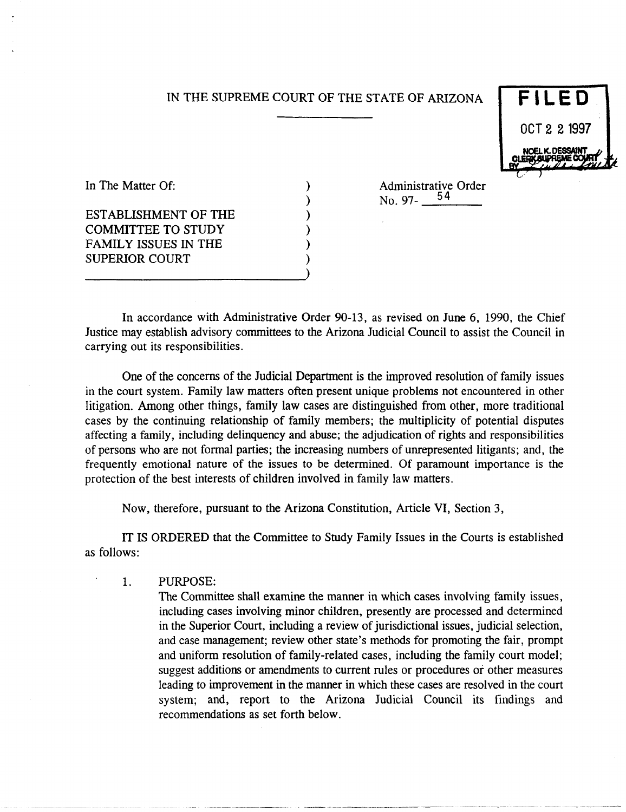### IN THE SUPREME COURT OF THE STATE OF ARIZONA

) ) ) ) ) )



In The Matter Of:

ESTABLISHMENT OF THE COMMITTEE TO STUDY FAMILY ISSUES IN THE SUPERIOR COURT

---------------------------)

Administrative Order<br>No. 97- $\frac{54}{100}$ 

In accordance with Administrative Order 90-13, as revised on June 6, 1990, the Chief Justice may establish advisory committees to the Arizona Judicial Council to assist the Council in carrying out its responsibilities.

One of the concerns of the Judicial Department is the improved resolution of family issues in the court system. Family law matters often present unique problems not encountered in other litigation. Among other things, family law cases are distinguished from other, more traditional cases by the continuing relationship of family members; the multiplicity of potential disputes affecting a family, including delinquency and abuse; the adjudication of rights and responsibilities of persons who are not formal parties; the increasing numbers of unrepresented litigants; and, the frequently emotional nature of the issues to be determined. Of paramount importance is the protection of the best interests of children involved in family law matters.

Now, therefore, pursuant to the Arizona Constitution, Article VI, Section 3,

IT IS ORDERED that the Committee to Study Family Issues in the Courts is established as follows:

1. PURPOSE:

The Committee shall examine the manner in which cases involving family issues, including cases involving minor children, presently are processed and determined in the Superior Court, including a review of jurisdictional issues, judicial selection, and case management; review other state's methods for promoting the fair, prompt and uniform resolution of family-related cases, including the family court model; suggest additions or amendments to current rules or procedures or other measures leading to improvement in the manner in which these cases are resolved in the court system; and, report to the Arizona Judicial Council its findings and recommendations as set forth below.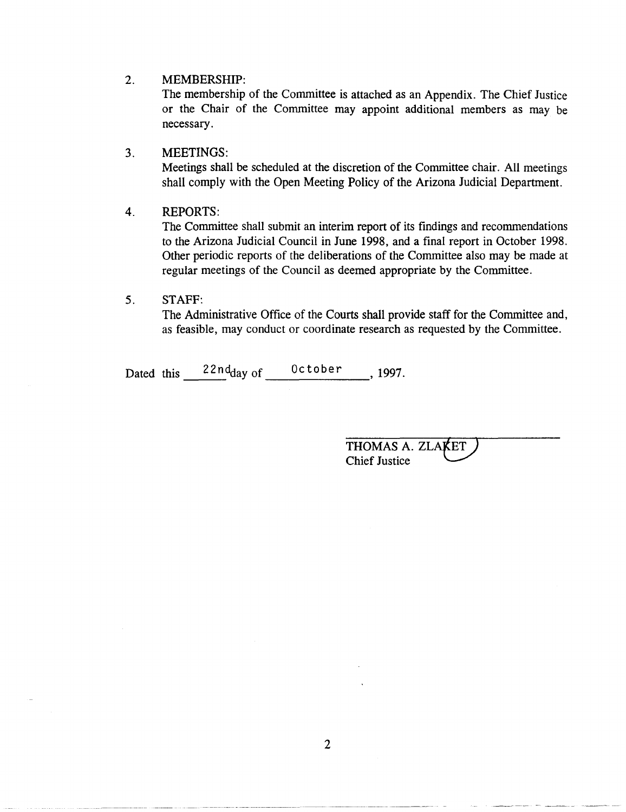#### 2. MEMBERSHIP:

The membership of the Committee is attached as an Appendix. The Chief Justice or the Chair of the Committee may appoint additional members as may be necessary.

# 3. MEETINGS:

Meetings shall be scheduled at the discretion of the Committee chair. All meetings shall comply with the Open Meeting Policy of the Arizona Judicial Department.

### 4. REPORTS:

The Committee shall submit an interim report of its findings and recommendations to the Arizona Judicial Council in June 1998, and a final report in October 1998. Other periodic reports of the deliberations of the Committee also may be made at regular meetings of the Council as deemed appropriate by the Committee.

## 5. STAFF:

The Administrative Office of the Courts shall provide staff for the Committee and, as feasible, may conduct or coordinate research as requested by the Committee.

Dated this  $\frac{22n d_{\text{day of}}}{\text{1997}}$ ,

THOMAS A. ZLAKET<br>Chief Justice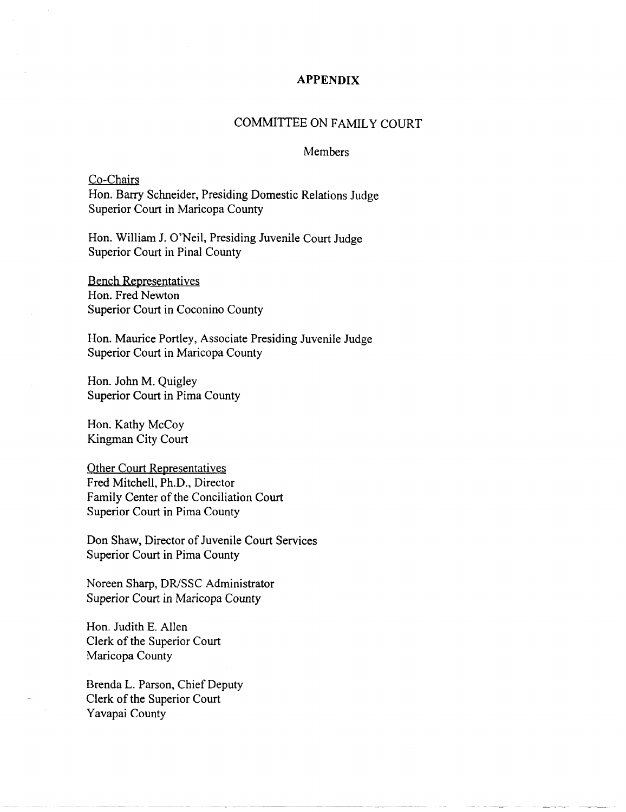### **APPENDIX**

# COMMITTEE ON FAMILY COURT

#### **Members**

Co-Chairs Hon. Barry Schneider, Presiding Domestic Relations Judge Superior Court in Maricopa County

Hon. William J. O'Neil, Presiding Juvenile Court Judge Superior Court in Pinal County

Bench Representatives Hon. Fred Newton Superior Court in Coconino County

Hon. Maurice Portley, Associate Presiding Juvenile Judge Superior Court in Maricopa County

Hon. John M. Quigley Superior Court in Pima County

Hon. Kathy McCoy Kingman City Court

Other Court Representatives Fred Mitchell, Ph.D., Director Family Center of the Conciliation Court Superior Court in Pima County

Don Shaw, Director of Juvenile Court Services Superior Court in Pima County

Noreen Sharp, DR/SSC Administrator Superior Court in Maricopa County

Hon. Judith E. Allen Clerk of the Superior Court Maricopa County

Brenda L. Parson, Chief Deputy Clerk of the Superior Court Yavapai County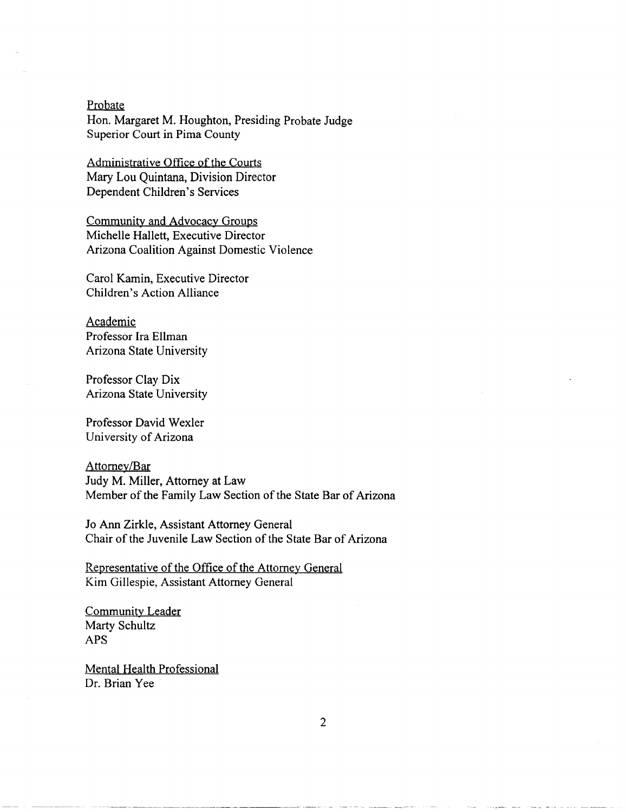Probate Hon. Margaret M. Houghton, Presiding Probate Judge Superior Court in Pima County

Administrative Office of the Courts Mary Lou Quintana, Division Director Dependent Children's Services

Community and Advocacy Groups Michelle Hallett, Executive Director Arizona Coalition Against Domestic Violence

Carol Kamin, Executive Director Children's Action Alliance

Academic Professor Ira Ellman Arizona State University

Professor Clay Dix Arizona State University

Professor David Wexler University of Arizona

Attorney/Bar Judy M. Miller, Attorney at Law Member of the Family Law Section of the State Bar of Arizona

Jo Ann Zirkle, Assistant Attorney General Chair of the Juvenile Law Section of the State Bar of Arizona

Representative of the Office of the Attorney General Kim Gillespie, Assistant Attorney General

Community Leader Marty Schultz APS

Mental Health Professional Dr. Brian Vee

---------- ---- -- -.\_--